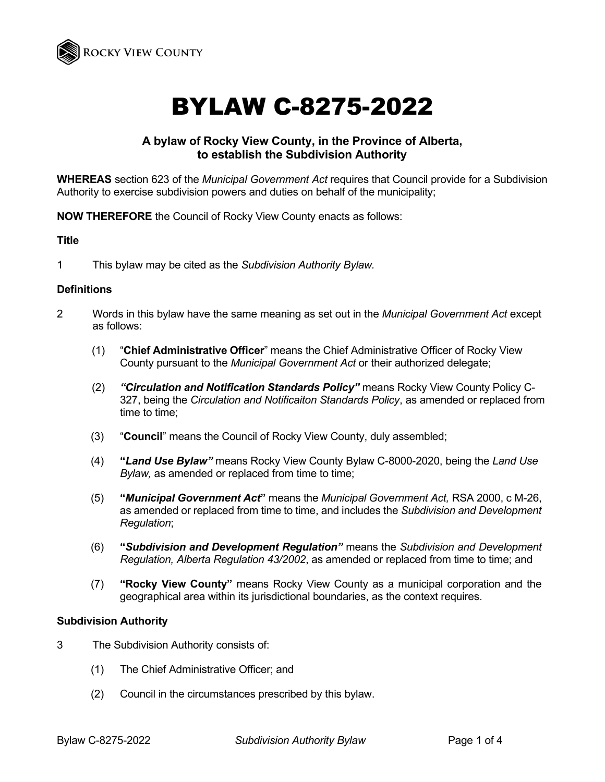

# BYLAW C-8275-2022

## **A bylaw of Rocky View County, in the Province of Alberta, to establish the Subdivision Authority**

**WHEREAS** section 623 of the *Municipal Government Act* requires that Council provide for a Subdivision Authority to exercise subdivision powers and duties on behalf of the municipality;

**NOW THEREFORE** the Council of Rocky View County enacts as follows:

### **Title**

1 This bylaw may be cited as the *Subdivision Authority Bylaw.*

#### **Definitions**

- 2 Words in this bylaw have the same meaning as set out in the *Municipal Government Act* except as follows:
	- (1) "**Chief Administrative Officer**" means the Chief Administrative Officer of Rocky View County pursuant to the *Municipal Government Act* or their authorized delegate;
	- (2) *"Circulation and Notification Standards Policy"* means Rocky View County Policy C-327, being the *Circulation and Notificaiton Standards Policy*, as amended or replaced from time to time;
	- (3) "**Council**" means the Council of Rocky View County, duly assembled;
	- (4) **"***Land Use Bylaw"* means Rocky View County Bylaw C-8000-2020, being the *Land Use Bylaw,* as amended or replaced from time to time;
	- (5) **"***Municipal Government Act***"** means the *Municipal Government Act,* RSA 2000, c M-26, as amended or replaced from time to time, and includes the *Subdivision and Development Regulation*;
	- (6) **"***Subdivision and Development Regulation"* means the *Subdivision and Development Regulation, Alberta Regulation 43/2002*, as amended or replaced from time to time; and
	- (7) **"Rocky View County"** means Rocky View County as a municipal corporation and the geographical area within its jurisdictional boundaries, as the context requires.

#### **Subdivision Authority**

- 3 The Subdivision Authority consists of:
	- (1) The Chief Administrative Officer; and
	- (2) Council in the circumstances prescribed by this bylaw.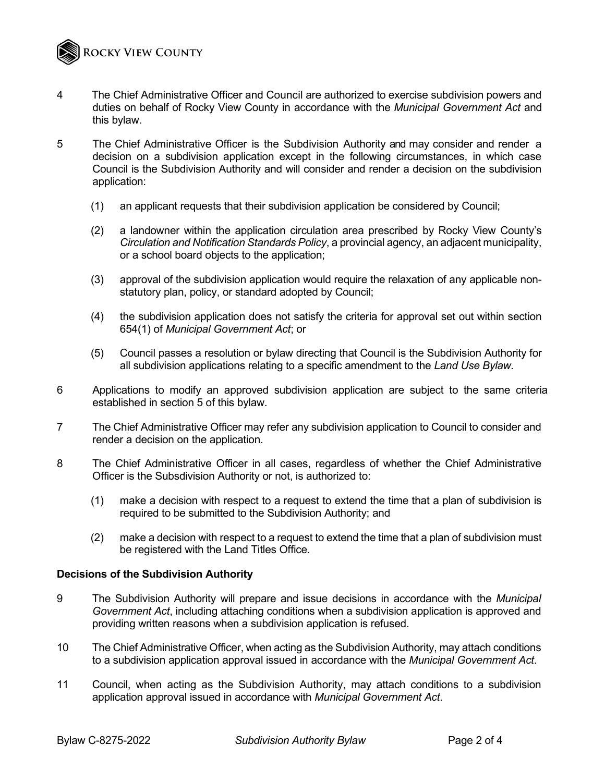

- 4 The Chief Administrative Officer and Council are authorized to exercise subdivision powers and duties on behalf of Rocky View County in accordance with the *Municipal Government Act* and this bylaw.
- 5 The Chief Administrative Officer is the Subdivision Authority and may consider and render a decision on a subdivision application except in the following circumstances, in which case Council is the Subdivision Authority and will consider and render a decision on the subdivision application:
	- (1) an applicant requests that their subdivision application be considered by Council;
	- (2) a landowner within the application circulation area prescribed by Rocky View County's *Circulation and Notification Standards Policy*, a provincial agency, an adjacent municipality, or a school board objects to the application;
	- (3) approval of the subdivision application would require the relaxation of any applicable nonstatutory plan, policy, or standard adopted by Council;
	- (4) the subdivision application does not satisfy the criteria for approval set out within section 654(1) of *Municipal Government Act*; or
	- (5) Council passes a resolution or bylaw directing that Council is the Subdivision Authority for all subdivision applications relating to a specific amendment to the *Land Use Bylaw.*
- 6 Applications to modify an approved subdivision application are subject to the same criteria established in section 5 of this bylaw.
- 7 The Chief Administrative Officer may refer any subdivision application to Council to consider and render a decision on the application.
- 8 The Chief Administrative Officer in all cases, regardless of whether the Chief Administrative Officer is the Subsdivision Authority or not, is authorized to:
	- (1) make a decision with respect to a request to extend the time that a plan of subdivision is required to be submitted to the Subdivision Authority; and
	- (2) make a decision with respect to a request to extend the time that a plan of subdivision must be registered with the Land Titles Office.

#### **Decisions of the Subdivision Authority**

- 9 The Subdivision Authority will prepare and issue decisions in accordance with the *Municipal Government Act*, including attaching conditions when a subdivision application is approved and providing written reasons when a subdivision application is refused.
- 10 The Chief Administrative Officer, when acting as the Subdivision Authority, may attach conditions to a subdivision application approval issued in accordance with the *Municipal Government Act*.
- 11 Council, when acting as the Subdivision Authority, may attach conditions to a subdivision application approval issued in accordance with *Municipal Government Act*.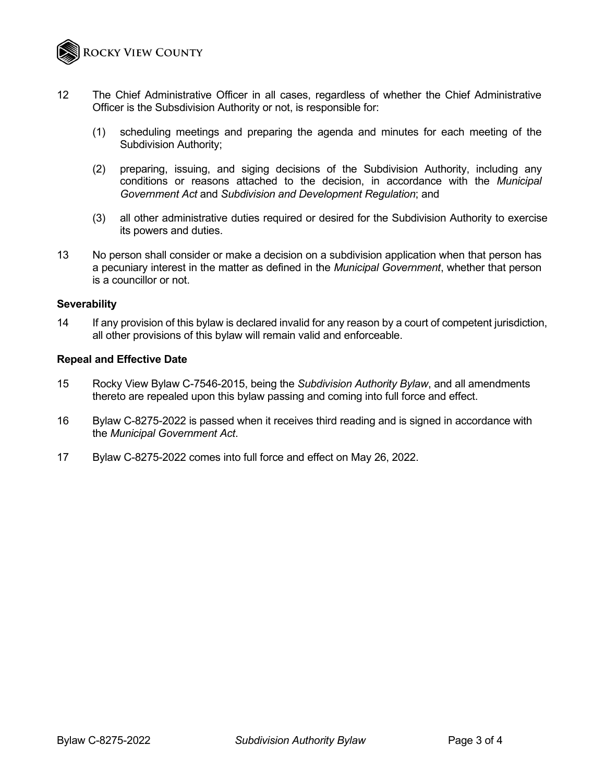

- 12 The Chief Administrative Officer in all cases, regardless of whether the Chief Administrative Officer is the Subsdivision Authority or not, is responsible for:
	- (1) scheduling meetings and preparing the agenda and minutes for each meeting of the Subdivision Authority;
	- (2) preparing, issuing, and siging decisions of the Subdivision Authority, including any conditions or reasons attached to the decision, in accordance with the *Municipal Government Act* and *Subdivision and Development Regulation*; and
	- (3) all other administrative duties required or desired for the Subdivision Authority to exercise its powers and duties.
- 13 No person shall consider or make a decision on a subdivision application when that person has a pecuniary interest in the matter as defined in the *Municipal Government*, whether that person is a councillor or not.

#### **Severability**

14 If any provision of this bylaw is declared invalid for any reason by a court of competent jurisdiction, all other provisions of this bylaw will remain valid and enforceable.

#### **Repeal and Effective Date**

- 15 Rocky View Bylaw C-7546-2015, being the *Subdivision Authority Bylaw*, and all amendments thereto are repealed upon this bylaw passing and coming into full force and effect.
- 16 Bylaw C-8275-2022 is passed when it receives third reading and is signed in accordance with the *Municipal Government Act*.
- 17 Bylaw C-8275-2022 comes into full force and effect on May 26, 2022.